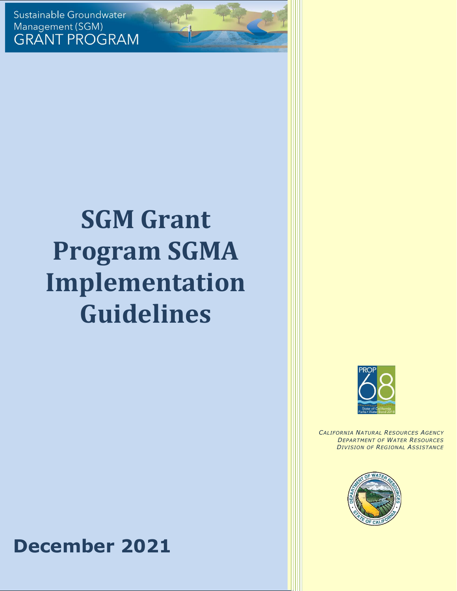Sustainable Groundwater Management (SGM) **GRÄNT PROGRAM** 

# **SGM Grant Program SGMA Implementation Guidelines**

## **December 2021**



*CALIFORNIA NATURAL RESOURCES AGENCY DEPARTMENT OF WATER RESOURCES DIVISION OF REGIONAL ASSISTANCE*

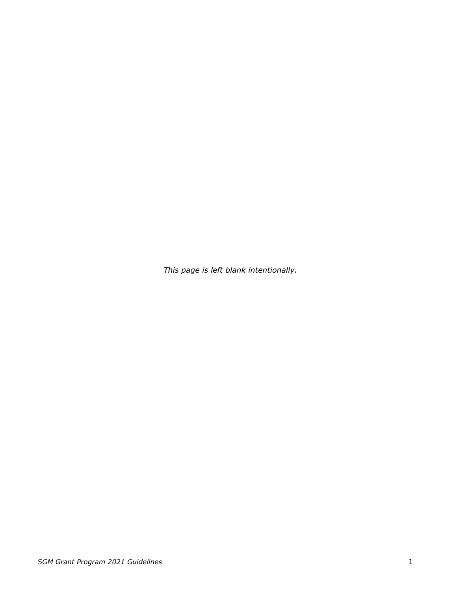*This page is left blank intentionally.*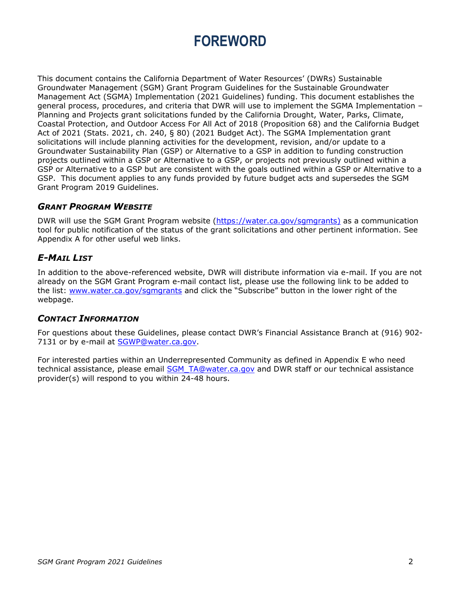## **FOREWORD**

This document contains the California Department of Water Resources' (DWRs) Sustainable Groundwater Management (SGM) Grant Program Guidelines for the Sustainable Groundwater Management Act (SGMA) Implementation (2021 Guidelines) funding. This document establishes the general process, procedures, and criteria that DWR will use to implement the SGMA Implementation – Planning and Projects grant solicitations funded by the California Drought, Water, Parks, Climate, Coastal Protection, and Outdoor Access For All Act of 2018 (Proposition 68) and the California Budget Act of 2021 (Stats. 2021, ch. 240, § 80) (2021 Budget Act). The SGMA Implementation grant solicitations will include planning activities for the development, revision, and/or update to a Groundwater Sustainability Plan (GSP) or Alternative to a GSP in addition to funding construction projects outlined within a GSP or Alternative to a GSP, or projects not previously outlined within a GSP or Alternative to a GSP but are consistent with the goals outlined within a GSP or Alternative to a GSP. This document applies to any funds provided by future budget acts and supersedes the SGM Grant Program 2019 Guidelines.

#### *GRANT PROGRAM WEBSITE*

DWR will use the SGM Grant Program website [\(https://water.ca.gov/sgmgrants\)](https://water.ca.gov/sgmgrants) as a communication tool for public notification of the status of the grant solicitations and other pertinent information. See Appendix A for other useful web links.

#### *E-MAIL LIST*

In addition to the above-referenced website, DWR will distribute information via e-mail. If you are not already on the SGM Grant Program e-mail contact list, please use the following link to be added to the list: [www.water.ca.gov/sgmgrants](https://water.ca.gov/Work-With-Us/Grants-And-Loans/Sustainable-Groundwater) and click the "Subscribe" button in the lower right of the webpage.

#### *CONTACT INFORMATION*

For questions about these Guidelines, please contact DWR's Financial Assistance Branch at (916) 902- 7131 or by e-mail at [SGWP@water.ca.gov.](mailto:SGWP@water.ca.gov)

For interested parties within an Underrepresented Community as defined in Appendix E who need technical assistance, please email [SGM\\_TA@water.ca.gov](mailto:SGM_TA@water.ca.gov) and DWR staff or our technical assistance provider(s) will respond to you within 24-48 hours.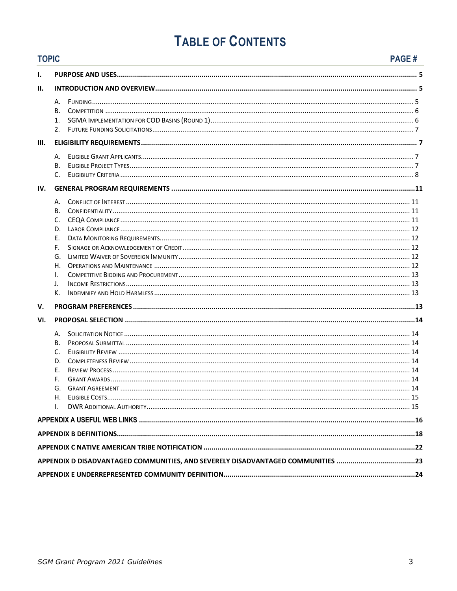### **TABLE OF CONTENTS**

| <b>TOPIC</b>   |                                                                                 | <b>PAGE#</b> |  |
|----------------|---------------------------------------------------------------------------------|--------------|--|
| $\mathbf{I}$ . |                                                                                 |              |  |
| Ш.             |                                                                                 |              |  |
|                | А.<br>В.<br>1.<br>2.                                                            |              |  |
| III.           |                                                                                 |              |  |
|                | А.<br>B.<br>C.                                                                  |              |  |
| IV.            |                                                                                 |              |  |
|                | А.<br>B.<br>C.<br>D.<br>Е.<br>F.<br>G.<br>Η.<br>Ι.<br>J.<br>К.                  |              |  |
| V.             |                                                                                 |              |  |
| VI.            |                                                                                 |              |  |
|                | А.<br>В.<br>C.<br>D.<br>Ε.<br>F.<br>G.                                          |              |  |
|                |                                                                                 |              |  |
|                |                                                                                 |              |  |
|                |                                                                                 |              |  |
|                | APPENDIX D DISADVANTAGED COMMUNITIES, AND SEVERELY DISADVANTAGED COMMUNITIES 23 |              |  |
|                |                                                                                 |              |  |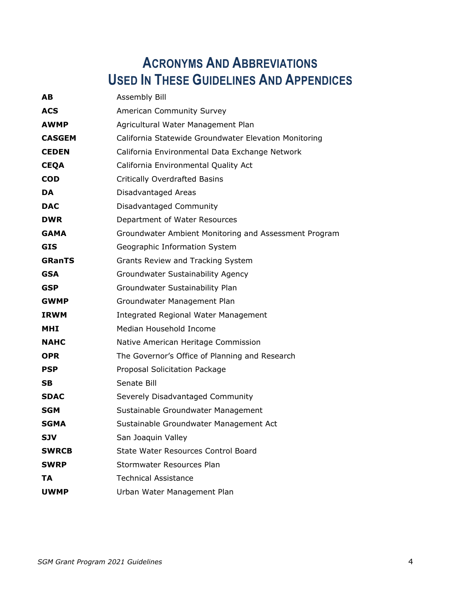## **ACRONYMS AND ABBREVIATIONS USED IN THESE GUIDELINES AND APPENDICES**

| <b>AB</b>     | Assembly Bill                                         |
|---------------|-------------------------------------------------------|
| <b>ACS</b>    | American Community Survey                             |
| <b>AWMP</b>   | Agricultural Water Management Plan                    |
| <b>CASGEM</b> | California Statewide Groundwater Elevation Monitoring |
| <b>CEDEN</b>  | California Environmental Data Exchange Network        |
| <b>CEQA</b>   | California Environmental Quality Act                  |
| <b>COD</b>    | <b>Critically Overdrafted Basins</b>                  |
| DA            | Disadvantaged Areas                                   |
| <b>DAC</b>    | Disadvantaged Community                               |
| <b>DWR</b>    | Department of Water Resources                         |
| <b>GAMA</b>   | Groundwater Ambient Monitoring and Assessment Program |
| <b>GIS</b>    | Geographic Information System                         |
| <b>GRanTS</b> | Grants Review and Tracking System                     |
| <b>GSA</b>    | Groundwater Sustainability Agency                     |
| <b>GSP</b>    | Groundwater Sustainability Plan                       |
| <b>GWMP</b>   | Groundwater Management Plan                           |
| <b>IRWM</b>   | <b>Integrated Regional Water Management</b>           |
| MHI           | Median Household Income                               |
| <b>NAHC</b>   | Native American Heritage Commission                   |
| <b>OPR</b>    | The Governor's Office of Planning and Research        |
| <b>PSP</b>    | Proposal Solicitation Package                         |
| <b>SB</b>     | Senate Bill                                           |
| <b>SDAC</b>   | Severely Disadvantaged Community                      |
| <b>SGM</b>    | Sustainable Groundwater Management                    |
| <b>SGMA</b>   | Sustainable Groundwater Management Act                |
| <b>SJV</b>    | San Joaquin Valley                                    |
| <b>SWRCB</b>  | State Water Resources Control Board                   |
| <b>SWRP</b>   | Stormwater Resources Plan                             |
| <b>TA</b>     | <b>Technical Assistance</b>                           |
| <b>UWMP</b>   | Urban Water Management Plan                           |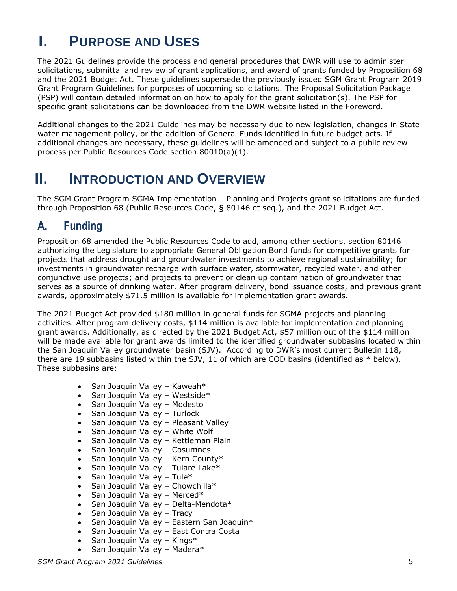## <span id="page-5-0"></span>**I. PURPOSE AND USES**

The 2021 Guidelines provide the process and general procedures that DWR will use to administer solicitations, submittal and review of grant applications, and award of grants funded by Proposition 68 and the 2021 Budget Act. These guidelines supersede the previously issued SGM Grant Program 2019 Grant Program Guidelines for purposes of upcoming solicitations. The Proposal Solicitation Package (PSP) will contain detailed information on how to apply for the grant solicitation(s). The PSP for specific grant solicitations can be downloaded from the DWR website listed in the Foreword.

Additional changes to the 2021 Guidelines may be necessary due to new legislation, changes in State water management policy, or the addition of General Funds identified in future budget acts. If additional changes are necessary, these guidelines will be amended and subject to a public review process per Public Resources Code section 80010(a)(1).

### <span id="page-5-1"></span>**II. INTRODUCTION AND OVERVIEW**

The SGM Grant Program SGMA Implementation – Planning and Projects grant solicitations are funded through Proposition 68 (Public Resources Code, § 80146 et seq.), and the 2021 Budget Act.

### <span id="page-5-2"></span>**A. Funding**

Proposition 68 amended the Public Resources Code to add, among other sections, section 80146 authorizing the Legislature to appropriate General Obligation Bond funds for competitive grants for projects that address drought and groundwater investments to achieve regional sustainability; for investments in groundwater recharge with surface water, stormwater, recycled water, and other conjunctive use projects; and projects to prevent or clean up contamination of groundwater that serves as a source of drinking water. After program delivery, bond issuance costs, and previous grant awards, approximately \$71.5 million is available for implementation grant awards.

The 2021 Budget Act provided \$180 million in general funds for SGMA projects and planning activities. After program delivery costs, \$114 million is available for implementation and planning grant awards. Additionally, as directed by the 2021 Budget Act, \$57 million out of the \$114 million will be made available for grant awards limited to the identified groundwater subbasins located within the San Joaquin Valley groundwater basin (SJV). According to DWR's most current Bulletin 118, there are 19 subbasins listed within the SJV, 11 of which are COD basins (identified as \* below). These subbasins are:

- San Joaquin Valley Kaweah\*
- San Joaquin Valley Westside\*
- San Joaquin Valley Modesto
- San Joaquin Valley Turlock
- San Joaquin Valley Pleasant Valley
- San Joaquin Valley White Wolf
- San Joaquin Valley Kettleman Plain
- San Joaquin Valley Cosumnes
- San Joaquin Valley Kern County\*
- San Joaquin Valley Tulare Lake<sup>\*</sup>
- San Joaquin Valley Tule\*
- San Joaquin Valley Chowchilla\*
- San Joaquin Valley Merced\*
- San Joaquin Valley Delta-Mendota\*
- San Joaquin Valley Tracy
- San Joaquin Valley Eastern San Joaquin\*
- San Joaquin Valley East Contra Costa
- San Joaquin Valley Kings\*
- San Joaquin Valley Madera\*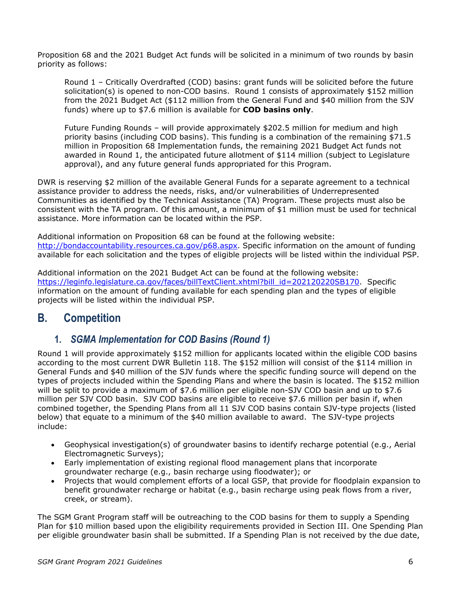Proposition 68 and the 2021 Budget Act funds will be solicited in a minimum of two rounds by basin priority as follows:

Round 1 – Critically Overdrafted (COD) basins: grant funds will be solicited before the future solicitation(s) is opened to non-COD basins. Round 1 consists of approximately \$152 million from the 2021 Budget Act (\$112 million from the General Fund and \$40 million from the SJV funds) where up to \$7.6 million is available for **COD basins only**.

Future Funding Rounds – will provide approximately \$202.5 million for medium and high priority basins (including COD basins). This funding is a combination of the remaining \$71.5 million in Proposition 68 Implementation funds, the remaining 2021 Budget Act funds not awarded in Round 1, the anticipated future allotment of \$114 million (subject to Legislature approval), and any future general funds appropriated for this Program.

DWR is reserving \$2 million of the available General Funds for a separate agreement to a technical assistance provider to address the needs, risks, and/or vulnerabilities of Underrepresented Communities as identified by the Technical Assistance (TA) Program. These projects must also be consistent with the TA program. Of this amount, a minimum of \$1 million must be used for technical assistance. More information can be located within the PSP.

Additional information on Proposition 68 can be found at the following website: [http://bondaccountability.resources.ca.gov/p68.aspx.](http://bondaccountability.resources.ca.gov/p68.aspx) Specific information on the amount of funding available for each solicitation and the types of eligible projects will be listed within the individual PSP.

Additional information on the 2021 Budget Act can be found at the following website: [https://leginfo.legislature.ca.gov/faces/billTextClient.xhtml?bill\\_id=202120220SB170.](https://leginfo.legislature.ca.gov/faces/billTextClient.xhtml?bill_id=202120220SB170) Specific information on the amount of funding available for each spending plan and the types of eligible projects will be listed within the individual PSP.

### <span id="page-6-1"></span><span id="page-6-0"></span>**B. Competition**

#### **1.** *SGMA Implementation for COD Basins (Round 1)*

Round 1 will provide approximately \$152 million for applicants located within the eligible COD basins according to the most current DWR Bulletin 118. The \$152 million will consist of the \$114 million in General Funds and \$40 million of the SJV funds where the specific funding source will depend on the types of projects included within the Spending Plans and where the basin is located. The \$152 million will be split to provide a maximum of \$7.6 million per eligible non-SJV COD basin and up to \$7.6 million per SJV COD basin. SJV COD basins are eligible to receive \$7.6 million per basin if, when combined together, the Spending Plans from all 11 SJV COD basins contain SJV-type projects (listed below) that equate to a minimum of the \$40 million available to award. The SJV-type projects include:

- Geophysical investigation(s) of groundwater basins to identify recharge potential (e.g., Aerial Electromagnetic Surveys);
- Early implementation of existing regional flood management plans that incorporate groundwater recharge (e.g., basin recharge using floodwater); or
- Projects that would complement efforts of a local GSP, that provide for floodplain expansion to benefit groundwater recharge or habitat (e.g., basin recharge using peak flows from a river, creek, or stream).

The SGM Grant Program staff will be outreaching to the COD basins for them to supply a Spending Plan for \$10 million based upon the eligibility requirements provided in Section III. One Spending Plan per eligible groundwater basin shall be submitted. If a Spending Plan is not received by the due date,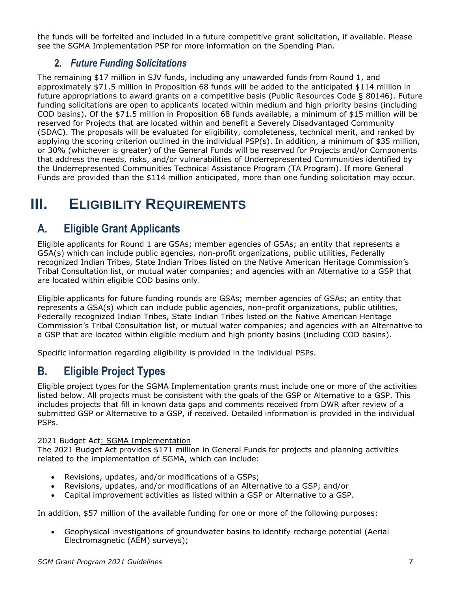<span id="page-7-0"></span>the funds will be forfeited and included in a future competitive grant solicitation, if available. Please see the SGMA Implementation PSP for more information on the Spending Plan.

#### **2.** *Future Funding Solicitations*

The remaining \$17 million in SJV funds, including any unawarded funds from Round 1, and approximately \$71.5 million in Proposition 68 funds will be added to the anticipated \$114 million in future appropriations to award grants on a competitive basis (Public Resources Code § 80146). Future funding solicitations are open to applicants located within medium and high priority basins (including COD basins). Of the \$71.5 million in Proposition 68 funds available, a minimum of \$15 million will be reserved for Projects that are located within and benefit a Severely Disadvantaged Community (SDAC). The proposals will be evaluated for eligibility, completeness, technical merit, and ranked by applying the scoring criterion outlined in the individual PSP(s). In addition, a minimum of \$35 million, or 30% (whichever is greater) of the General Funds will be reserved for Projects and/or Components that address the needs, risks, and/or vulnerabilities of Underrepresented Communities identified by the Underrepresented Communities Technical Assistance Program (TA Program). If more General Funds are provided than the \$114 million anticipated, more than one funding solicitation may occur.

### <span id="page-7-1"></span>**III. ELIGIBILITY REQUIREMENTS**

### <span id="page-7-2"></span>**A. Eligible Grant Applicants**

Eligible applicants for Round 1 are GSAs; member agencies of GSAs; an entity that represents a GSA(s) which can include public agencies, non-profit organizations, public utilities, Federally recognized Indian Tribes, State Indian Tribes listed on the Native American Heritage Commission's Tribal Consultation list, or mutual water companies; and agencies with an Alternative to a GSP that are located within eligible COD basins only.

Eligible applicants for future funding rounds are GSAs; member agencies of GSAs; an entity that represents a GSA(s) which can include public agencies, non-profit organizations, public utilities, Federally recognized Indian Tribes, State Indian Tribes listed on the Native American Heritage Commission's Tribal Consultation list, or mutual water companies; and agencies with an Alternative to a GSP that are located within eligible medium and high priority basins (including COD basins).

Specific information regarding eligibility is provided in the individual PSPs.

### <span id="page-7-3"></span>**B. Eligible Project Types**

Eligible project types for the SGMA Implementation grants must include one or more of the activities listed below. All projects must be consistent with the goals of the GSP or Alternative to a GSP. This includes projects that fill in known data gaps and comments received from DWR after review of a submitted GSP or Alternative to a GSP, if received. Detailed information is provided in the individual PSPs.

#### 2021 Budget Act: SGMA Implementation

The 2021 Budget Act provides \$171 million in General Funds for projects and planning activities related to the implementation of SGMA, which can include:

- Revisions, updates, and/or modifications of a GSPs;
- Revisions, updates, and/or modifications of an Alternative to a GSP; and/or
- Capital improvement activities as listed within a GSP or Alternative to a GSP.

In addition, \$57 million of the available funding for one or more of the following purposes:

• Geophysical investigations of groundwater basins to identify recharge potential (Aerial Electromagnetic (AEM) surveys);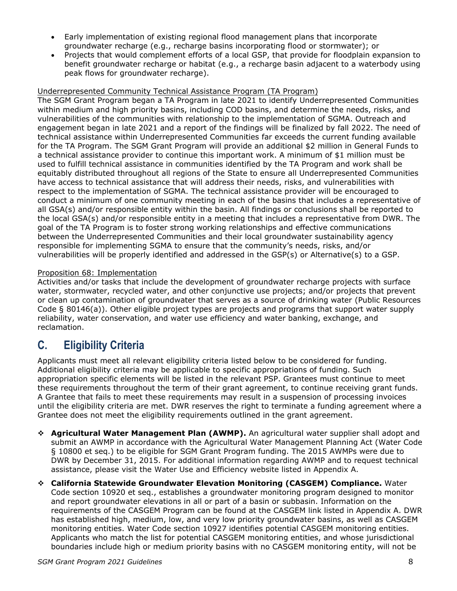- Early implementation of existing regional flood management plans that incorporate groundwater recharge (e.g., recharge basins incorporating flood or stormwater); or
- Projects that would complement efforts of a local GSP, that provide for floodplain expansion to benefit groundwater recharge or habitat (e.g., a recharge basin adjacent to a waterbody using peak flows for groundwater recharge).

#### Underrepresented Community Technical Assistance Program (TA Program)

The SGM Grant Program began a TA Program in late 2021 to identify Underrepresented Communities within medium and high priority basins, including COD basins, and determine the needs, risks, and vulnerabilities of the communities with relationship to the implementation of SGMA. Outreach and engagement began in late 2021 and a report of the findings will be finalized by fall 2022. The need of technical assistance within Underrepresented Communities far exceeds the current funding available for the TA Program. The SGM Grant Program will provide an additional \$2 million in General Funds to a technical assistance provider to continue this important work. A minimum of \$1 million must be used to fulfill technical assistance in communities identified by the TA Program and work shall be equitably distributed throughout all regions of the State to ensure all Underrepresented Communities have access to technical assistance that will address their needs, risks, and vulnerabilities with respect to the implementation of SGMA. The technical assistance provider will be encouraged to conduct a minimum of one community meeting in each of the basins that includes a representative of all GSA(s) and/or responsible entity within the basin. All findings or conclusions shall be reported to the local GSA(s) and/or responsible entity in a meeting that includes a representative from DWR. The goal of the TA Program is to foster strong working relationships and effective communications between the Underrepresented Communities and their local groundwater sustainability agency responsible for implementing SGMA to ensure that the community's needs, risks, and/or vulnerabilities will be properly identified and addressed in the GSP(s) or Alternative(s) to a GSP.

#### Proposition 68: Implementation

Activities and/or tasks that include the development of groundwater recharge projects with surface water, stormwater, recycled water, and other conjunctive use projects; and/or projects that prevent or clean up contamination of groundwater that serves as a source of drinking water (Public Resources Code § 80146(a)). Other eligible project types are projects and programs that support water supply reliability, water conservation, and water use efficiency and water banking, exchange, and reclamation.

### <span id="page-8-0"></span>**C. Eligibility Criteria**

Applicants must meet all relevant eligibility criteria listed below to be considered for funding. Additional eligibility criteria may be applicable to specific appropriations of funding. Such appropriation specific elements will be listed in the relevant PSP. Grantees must continue to meet these requirements throughout the term of their grant agreement, to continue receiving grant funds. A Grantee that fails to meet these requirements may result in a suspension of processing invoices until the eligibility criteria are met. DWR reserves the right to terminate a funding agreement where a Grantee does not meet the eligibility requirements outlined in the grant agreement.

- ❖ **Agricultural Water Management Plan (AWMP).** An agricultural water supplier shall adopt and submit an AWMP in accordance with the Agricultural Water Management Planning Act (Water Code § 10800 et seq.) to be eligible for SGM Grant Program funding. The 2015 AWMPs were due to DWR by December 31, 2015. For additional information regarding AWMP and to request technical assistance, please visit the Water Use and Efficiency website listed in Appendix A.
- ❖ **California Statewide Groundwater Elevation Monitoring (CASGEM) Compliance.** Water Code section 10920 et seq., establishes a groundwater monitoring program designed to monitor and report groundwater elevations in all or part of a basin or subbasin. Information on the requirements of the CASGEM Program can be found at the CASGEM link listed in Appendix A. DWR has established high, medium, low, and very low priority groundwater basins, as well as CASGEM monitoring entities. Water Code section 10927 identifies potential CASGEM monitoring entities. Applicants who match the list for potential CASGEM monitoring entities, and whose jurisdictional boundaries include high or medium priority basins with no CASGEM monitoring entity, will not be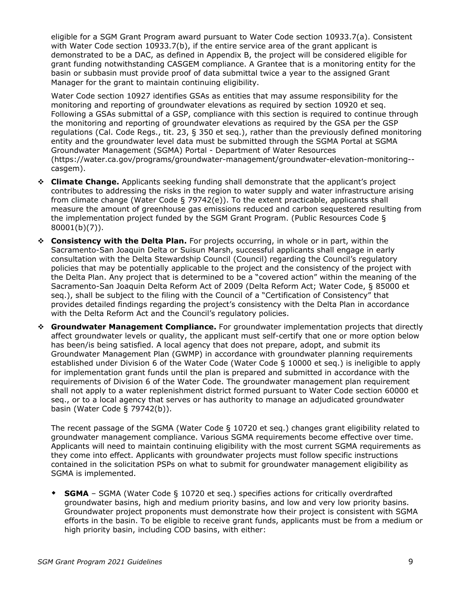eligible for a SGM Grant Program award pursuant to Water Code section 10933.7(a). Consistent with Water Code section 10933.7(b), if the entire service area of the grant applicant is demonstrated to be a DAC, as defined in Appendix B, the project will be considered eligible for grant funding notwithstanding CASGEM compliance. A Grantee that is a monitoring entity for the basin or subbasin must provide proof of data submittal twice a year to the assigned Grant Manager for the grant to maintain continuing eligibility.

Water Code section 10927 identifies GSAs as entities that may assume responsibility for the monitoring and reporting of groundwater elevations as required by section 10920 et seq. Following a GSAs submittal of a GSP, compliance with this section is required to continue through the monitoring and reporting of groundwater elevations as required by the GSA per the GSP regulations (Cal. Code Regs., tit. 23, § 350 et seq.), rather than the previously defined monitoring entity and the groundwater level data must be submitted through the SGMA Portal at SGMA Groundwater Management (SGMA) Portal - Department of Water Resources (https://water.ca.gov/programs/groundwater-management/groundwater-elevation-monitoring- casgem).

- ❖ **Climate Change.** Applicants seeking funding shall demonstrate that the applicant's project contributes to addressing the risks in the region to water supply and water infrastructure arising from climate change (Water Code § 79742(e)). To the extent practicable, applicants shall measure the amount of greenhouse gas emissions reduced and carbon sequestered resulting from the implementation project funded by the SGM Grant Program. (Public Resources Code § 80001(b)(7)).
- ❖ **Consistency with the Delta Plan.** For projects occurring, in whole or in part, within the Sacramento-San Joaquin Delta or Suisun Marsh, successful applicants shall engage in early consultation with the Delta Stewardship Council (Council) regarding the Council's regulatory policies that may be potentially applicable to the project and the consistency of the project with the Delta Plan. Any project that is determined to be a "covered action" within the meaning of the Sacramento-San Joaquin Delta Reform Act of 2009 (Delta Reform Act; Water Code, § 85000 et seq.), shall be subject to the filing with the Council of a "Certification of Consistency" that provides detailed findings regarding the project's consistency with the Delta Plan in accordance with the Delta Reform Act and the Council's regulatory policies.
- ❖ **Groundwater Management Compliance.** For groundwater implementation projects that directly affect groundwater levels or quality, the applicant must self-certify that one or more option below has been/is being satisfied. A local agency that does not prepare, adopt, and submit its Groundwater Management Plan (GWMP) in accordance with groundwater planning requirements established under Division 6 of the Water Code (Water Code § 10000 et seq.) is ineligible to apply for implementation grant funds until the plan is prepared and submitted in accordance with the requirements of Division 6 of the Water Code. The groundwater management plan requirement shall not apply to a water replenishment district formed pursuant to Water Code section 60000 et seq., or to a local agency that serves or has authority to manage an adjudicated groundwater basin (Water Code § 79742(b)).

The recent passage of the SGMA (Water Code § 10720 et seq.) changes grant eligibility related to groundwater management compliance. Various SGMA requirements become effective over time. Applicants will need to maintain continuing eligibility with the most current SGMA requirements as they come into effect. Applicants with groundwater projects must follow specific instructions contained in the solicitation PSPs on what to submit for groundwater management eligibility as SGMA is implemented.

 **SGMA** – SGMA (Water Code § 10720 et seq.) specifies actions for critically overdrafted groundwater basins, high and medium priority basins, and low and very low priority basins. Groundwater project proponents must demonstrate how their project is consistent with SGMA efforts in the basin. To be eligible to receive grant funds, applicants must be from a medium or high priority basin, including COD basins, with either: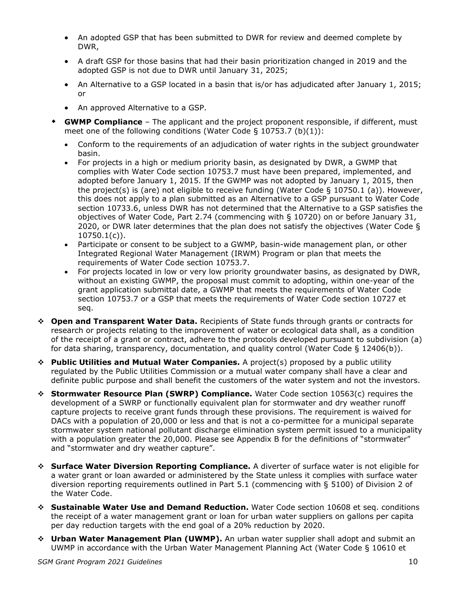- An adopted GSP that has been submitted to DWR for review and deemed complete by DWR,
- A draft GSP for those basins that had their basin prioritization changed in 2019 and the adopted GSP is not due to DWR until January 31, 2025;
- An Alternative to a GSP located in a basin that is/or has adjudicated after January 1, 2015; or
- An approved Alternative to a GSP.
- **GWMP Compliance** The applicant and the project proponent responsible, if different, must meet one of the following conditions (Water Code § 10753.7 (b)(1)):
	- Conform to the requirements of an adjudication of water rights in the subject groundwater basin.
	- For projects in a high or medium priority basin, as designated by DWR, a GWMP that complies with Water Code section 10753.7 must have been prepared, implemented, and adopted before January 1, 2015. If the GWMP was not adopted by January 1, 2015, then the project(s) is (are) not eligible to receive funding (Water Code  $\S$  10750.1 (a)). However, this does not apply to a plan submitted as an Alternative to a GSP pursuant to Water Code section 10733.6, unless DWR has not determined that the Alternative to a GSP satisfies the objectives of Water Code, Part 2.74 (commencing with § 10720) on or before January 31, 2020, or DWR later determines that the plan does not satisfy the objectives (Water Code § 10750.1(c)).
	- Participate or consent to be subject to a GWMP, basin-wide management plan, or other Integrated Regional Water Management (IRWM) Program or plan that meets the requirements of Water Code section 10753.7.
	- For projects located in low or very low priority groundwater basins, as designated by DWR, without an existing GWMP, the proposal must commit to adopting, within one-year of the grant application submittal date, a GWMP that meets the requirements of Water Code section 10753.7 or a GSP that meets the requirements of Water Code section 10727 et seq.
- ❖ **Open and Transparent Water Data.** Recipients of State funds through grants or contracts for research or projects relating to the improvement of water or ecological data shall, as a condition of the receipt of a grant or contract, adhere to the protocols developed pursuant to subdivision (a) for data sharing, transparency, documentation, and quality control (Water Code § 12406(b)).
- ❖ **Public Utilities and Mutual Water Companies.** A project(s) proposed by a public utility regulated by the Public Utilities Commission or a mutual water company shall have a clear and definite public purpose and shall benefit the customers of the water system and not the investors.
- ❖ **Stormwater Resource Plan (SWRP) Compliance.** Water Code section 10563(c) requires the development of a SWRP or functionally equivalent plan for stormwater and dry weather runoff capture projects to receive grant funds through these provisions. The requirement is waived for DACs with a population of 20,000 or less and that is not a co-permittee for a municipal separate stormwater system national pollutant discharge elimination system permit issued to a municipality with a population greater the 20,000. Please see Appendix B for the definitions of "stormwater" and "stormwater and dry weather capture".
- ❖ **Surface Water Diversion Reporting Compliance.** A diverter of surface water is not eligible for a water grant or loan awarded or administered by the State unless it complies with surface water diversion reporting requirements outlined in Part 5.1 (commencing with § 5100) of Division 2 of the Water Code.
- ❖ **Sustainable Water Use and Demand Reduction.** Water Code section 10608 et seq. conditions the receipt of a water management grant or loan for urban water suppliers on gallons per capita per day reduction targets with the end goal of a 20% reduction by 2020.
- ❖ **Urban Water Management Plan (UWMP).** An urban water supplier shall adopt and submit an UWMP in accordance with the Urban Water Management Planning Act (Water Code § 10610 et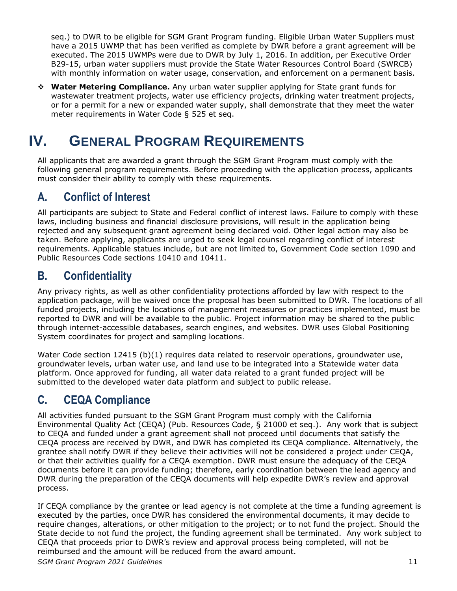seq.) to DWR to be eligible for SGM Grant Program funding. Eligible Urban Water Suppliers must have a 2015 UWMP that has been verified as complete by DWR before a grant agreement will be executed. The 2015 UWMPs were due to DWR by July 1, 2016. In addition, per Executive Order B29-15, urban water suppliers must provide the State Water Resources Control Board (SWRCB) with monthly information on water usage, conservation, and enforcement on a permanent basis.

❖ **Water Metering Compliance.** Any urban water supplier applying for State grant funds for wastewater treatment projects, water use efficiency projects, drinking water treatment projects, or for a permit for a new or expanded water supply, shall demonstrate that they meet the water meter requirements in Water Code § 525 et seq.

### <span id="page-11-0"></span>**IV. GENERAL PROGRAM REQUIREMENTS**

All applicants that are awarded a grant through the SGM Grant Program must comply with the following general program requirements. Before proceeding with the application process, applicants must consider their ability to comply with these requirements.

### <span id="page-11-1"></span>**A. Conflict of Interest**

All participants are subject to State and Federal conflict of interest laws. Failure to comply with these laws, including business and financial disclosure provisions, will result in the application being rejected and any subsequent grant agreement being declared void. Other legal action may also be taken. Before applying, applicants are urged to seek legal counsel regarding conflict of interest requirements. Applicable statues include, but are not limited to, Government Code section 1090 and Public Resources Code sections 10410 and 10411.

### <span id="page-11-2"></span>**B. Confidentiality**

Any privacy rights, as well as other confidentiality protections afforded by law with respect to the application package, will be waived once the proposal has been submitted to DWR. The locations of all funded projects, including the locations of management measures or practices implemented, must be reported to DWR and will be available to the public. Project information may be shared to the public through internet-accessible databases, search engines, and websites. DWR uses Global Positioning System coordinates for project and sampling locations.

Water Code section 12415 (b)(1) requires data related to reservoir operations, groundwater use, groundwater levels, urban water use, and land use to be integrated into a Statewide water data platform. Once approved for funding, all water data related to a grant funded project will be submitted to the developed water data platform and subject to public release.

### <span id="page-11-3"></span>**C. CEQA Compliance**

All activities funded pursuant to the SGM Grant Program must comply with the California Environmental Quality Act (CEQA) (Pub. Resources Code, § 21000 et seq.). Any work that is subject to CEQA and funded under a grant agreement shall not proceed until documents that satisfy the CEQA process are received by DWR, and DWR has completed its CEQA compliance. Alternatively, the grantee shall notify DWR if they believe their activities will not be considered a project under CEQA, or that their activities qualify for a CEQA exemption. DWR must ensure the adequacy of the CEQA documents before it can provide funding; therefore, early coordination between the lead agency and DWR during the preparation of the CEQA documents will help expedite DWR's review and approval process.

If CEQA compliance by the grantee or lead agency is not complete at the time a funding agreement is executed by the parties, once DWR has considered the environmental documents, it may decide to require changes, alterations, or other mitigation to the project; or to not fund the project. Should the State decide to not fund the project, the funding agreement shall be terminated. Any work subject to CEQA that proceeds prior to DWR's review and approval process being completed, will not be reimbursed and the amount will be reduced from the award amount.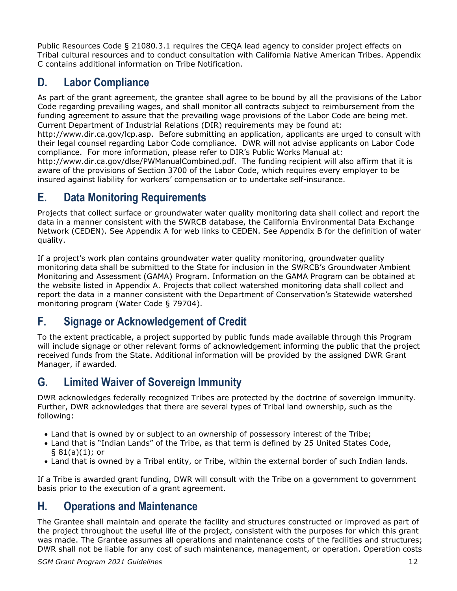Public Resources Code § 21080.3.1 requires the CEQA lead agency to consider project effects on Tribal cultural resources and to conduct consultation with California Native American Tribes. [Appendix](#page-21-0)  C contains additional information on Tribe Notification.

### <span id="page-12-0"></span>**D. Labor Compliance**

As part of the grant agreement, the grantee shall agree to be bound by all the provisions of the Labor Code regarding prevailing wages, and shall monitor all contracts subject to reimbursement from the funding agreement to assure that the prevailing wage provisions of the Labor Code are being met. Current Department of Industrial Relations (DIR) requirements may be found at:

http://www.dir.ca.gov/lcp.asp. Before submitting an application, applicants are urged to consult with their legal counsel regarding Labor Code compliance. DWR will not advise applicants on Labor Code compliance. For more information, please refer to DIR's Public Works Manual at:

http://www.dir.ca.gov/dlse/PWManualCombined.pdf. The funding recipient will also affirm that it is aware of the provisions of Section 3700 of the Labor Code, which requires every employer to be insured against liability for workers' compensation or to undertake self-insurance.

### <span id="page-12-1"></span>**E. Data Monitoring Requirements**

Projects that collect surface or groundwater water quality monitoring data shall collect and report the data in a manner consistent with the SWRCB database, the California Environmental Data Exchange Network (CEDEN). See [Appendix A](#page-15-2) for web links to CEDEN. See Appendix B for the definition of water quality.

If a project's work plan contains groundwater water quality monitoring, groundwater quality monitoring data shall be submitted to the State for inclusion in the SWRCB's Groundwater Ambient Monitoring and Assessment (GAMA) Program. Information on the GAMA Program can be obtained at the website listed in Appendix A. Projects that collect watershed monitoring data shall collect and report the data in a manner consistent with the Department of Conservation's Statewide watershed monitoring program (Water Code § 79704).

### <span id="page-12-2"></span>**F. Signage or Acknowledgement of Credit**

To the extent practicable, a project supported by public funds made available through this Program will include signage or other relevant forms of acknowledgement informing the public that the project received funds from the State. Additional information will be provided by the assigned DWR Grant Manager, if awarded.

### <span id="page-12-3"></span>**G. Limited Waiver of Sovereign Immunity**

DWR acknowledges federally recognized Tribes are protected by the doctrine of sovereign immunity. Further, DWR acknowledges that there are several types of Tribal land ownership, such as the following:

- Land that is owned by or subject to an ownership of possessory interest of the Tribe;
- Land that is "Indian Lands" of the Tribe, as that term is defined by 25 United States Code, § 81(a)(1); or
- Land that is owned by a Tribal entity, or Tribe, within the external border of such Indian lands.

If a Tribe is awarded grant funding, DWR will consult with the Tribe on a government to government basis prior to the execution of a grant agreement.

### <span id="page-12-4"></span>**H. Operations and Maintenance**

The Grantee shall maintain and operate the facility and structures constructed or improved as part of the project throughout the useful life of the project, consistent with the purposes for which this grant was made. The Grantee assumes all operations and maintenance costs of the facilities and structures; DWR shall not be liable for any cost of such maintenance, management, or operation. Operation costs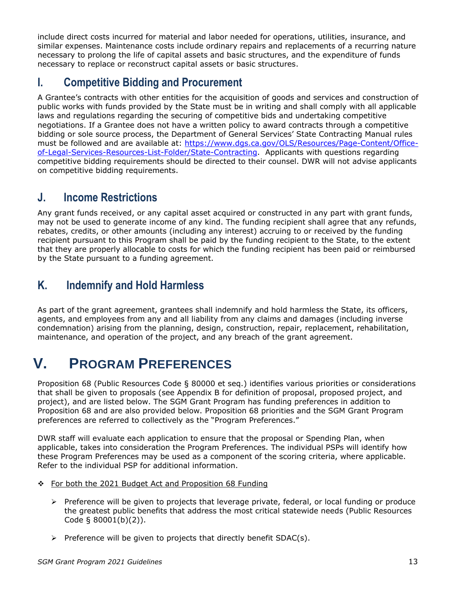include direct costs incurred for material and labor needed for operations, utilities, insurance, and similar expenses. Maintenance costs include ordinary repairs and replacements of a recurring nature necessary to prolong the life of capital assets and basic structures, and the expenditure of funds necessary to replace or reconstruct capital assets or basic structures.

### <span id="page-13-0"></span>**I. Competitive Bidding and Procurement**

A Grantee's contracts with other entities for the acquisition of goods and services and construction of public works with funds provided by the State must be in writing and shall comply with all applicable laws and regulations regarding the securing of competitive bids and undertaking competitive negotiations. If a Grantee does not have a written policy to award contracts through a competitive bidding or sole source process, the Department of General Services' State Contracting Manual rules must be followed and are available at: [https://www.dgs.ca.gov/OLS/Resources/Page-Content/Office](https://www.dgs.ca.gov/OLS/Resources/Page-Content/Office-of-Legal-Services-Resources-List-Folder/State-Contracting)[of-Legal-Services-Resources-List-Folder/State-Contracting.](https://www.dgs.ca.gov/OLS/Resources/Page-Content/Office-of-Legal-Services-Resources-List-Folder/State-Contracting) Applicants with questions regarding competitive bidding requirements should be directed to their counsel. DWR will not advise applicants on competitive bidding requirements.

### <span id="page-13-1"></span>**J. Income Restrictions**

Any grant funds received, or any capital asset acquired or constructed in any part with grant funds, may not be used to generate income of any kind. The funding recipient shall agree that any refunds, rebates, credits, or other amounts (including any interest) accruing to or received by the funding recipient pursuant to this Program shall be paid by the funding recipient to the State, to the extent that they are properly allocable to costs for which the funding recipient has been paid or reimbursed by the State pursuant to a funding agreement.

### <span id="page-13-2"></span>**K. Indemnify and Hold Harmless**

As part of the grant agreement, grantees shall indemnify and hold harmless the State, its officers, agents, and employees from any and all liability from any claims and damages (including inverse condemnation) arising from the planning, design, construction, repair, replacement, rehabilitation, maintenance, and operation of the project, and any breach of the grant agreement.

## <span id="page-13-3"></span>**V. PROGRAM PREFERENCES**

Proposition 68 (Public Resources Code § 80000 et seq.) identifies various priorities or considerations that shall be given to proposals (see Appendix B for definition of proposal, proposed project, and project), and are listed below. The SGM Grant Program has funding preferences in addition to Proposition 68 and are also provided below. Proposition 68 priorities and the SGM Grant Program preferences are referred to collectively as the "Program Preferences."

DWR staff will evaluate each application to ensure that the proposal or Spending Plan, when applicable, takes into consideration the Program Preferences. The individual PSPs will identify how these Program Preferences may be used as a component of the scoring criteria, where applicable. Refer to the individual PSP for additional information.

- ❖ For both the 2021 Budget Act and Proposition 68 Funding
	- ➢ Preference will be given to projects that leverage private, federal, or local funding or produce the greatest public benefits that address the most critical statewide needs (Public Resources Code § 80001(b)(2)).
	- $\triangleright$  Preference will be given to projects that directly benefit SDAC(s).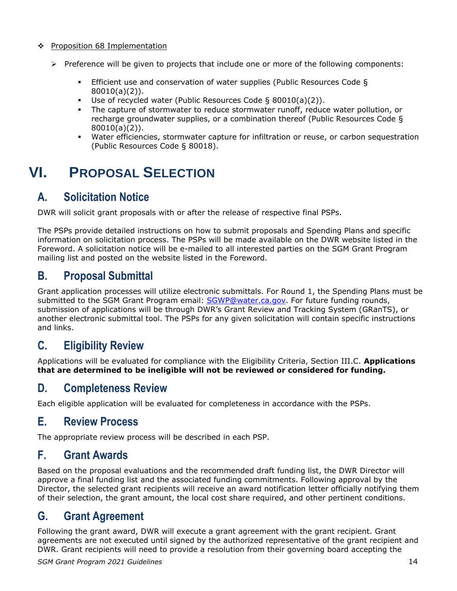#### ❖ Proposition 68 Implementation

- ➢ Preference will be given to projects that include one or more of the following components:
	- Efficient use and conservation of water supplies (Public Resources Code § 80010(a)(2)).
	- Use of recycled water (Public Resources Code § 80010(a)(2)).
	- The capture of stormwater to reduce stormwater runoff, reduce water pollution, or recharge groundwater supplies, or a combination thereof (Public Resources Code § 80010(a)(2)).
	- Water efficiencies, stormwater capture for infiltration or reuse, or carbon sequestration (Public Resources Code § 80018).

### <span id="page-14-0"></span>**VI. PROPOSAL SELECTION**

### <span id="page-14-1"></span>**A. Solicitation Notice**

DWR will solicit grant proposals with or after the release of respective final PSPs.

The PSPs provide detailed instructions on how to submit proposals and Spending Plans and specific information on solicitation process. The PSPs will be made available on the DWR website listed in the Foreword. A solicitation notice will be e-mailed to all interested parties on the SGM Grant Program mailing list and posted on the website listed in the Foreword.

### <span id="page-14-2"></span>**B. Proposal Submittal**

Grant application processes will utilize electronic submittals. For Round 1, the Spending Plans must be submitted to the SGM Grant Program email: [SGWP@water.ca.gov.](mailto:SGWP@water.ca.gov) For future funding rounds, submission of applications will be through DWR's Grant Review and Tracking System (GRanTS), or another electronic submittal tool. The PSPs for any given solicitation will contain specific instructions and links.

### <span id="page-14-3"></span>**C. Eligibility Review**

Applications will be evaluated for compliance with the Eligibility Criteria, Section III.C. **Applications that are determined to be ineligible will not be reviewed or considered for funding.**

### <span id="page-14-4"></span>**D. Completeness Review**

<span id="page-14-5"></span>Each eligible application will be evaluated for completeness in accordance with the PSPs.

### **E. Review Process**

The appropriate review process will be described in each PSP.

### <span id="page-14-6"></span>**F. Grant Awards**

Based on the proposal evaluations and the recommended draft funding list, the DWR Director will approve a final funding list and the associated funding commitments. Following approval by the Director, the selected grant recipients will receive an award notification letter officially notifying them of their selection, the grant amount, the local cost share required, and other pertinent conditions.

### <span id="page-14-7"></span>**G. Grant Agreement**

Following the grant award, DWR will execute a grant agreement with the grant recipient. Grant agreements are not executed until signed by the authorized representative of the grant recipient and DWR. Grant recipients will need to provide a resolution from their governing board accepting the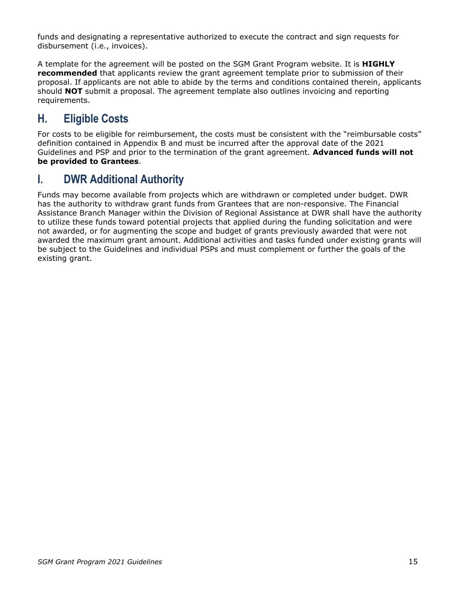funds and designating a representative authorized to execute the contract and sign requests for disbursement (i.e., invoices).

A template for the agreement will be posted on the SGM Grant Program website. It is **HIGHLY recommended** that applicants review the grant agreement template prior to submission of their proposal. If applicants are not able to abide by the terms and conditions contained therein, applicants should **NOT** submit a proposal. The agreement template also outlines invoicing and reporting requirements.

### <span id="page-15-0"></span>**H. Eligible Costs**

For costs to be eligible for reimbursement, the costs must be consistent with the "reimbursable costs" definition contained in Appendix B and must be incurred after the approval date of the 2021 Guidelines and PSP and prior to the termination of the grant agreement. **Advanced funds will not be provided to Grantees**.

### <span id="page-15-1"></span>**I. DWR Additional Authority**

<span id="page-15-2"></span>Funds may become available from projects which are withdrawn or completed under budget. DWR has the authority to withdraw grant funds from Grantees that are non-responsive. The Financial Assistance Branch Manager within the Division of Regional Assistance at DWR shall have the authority to utilize these funds toward potential projects that applied during the funding solicitation and were not awarded, or for augmenting the scope and budget of grants previously awarded that were not awarded the maximum grant amount. Additional activities and tasks funded under existing grants will be subject to the Guidelines and individual PSPs and must complement or further the goals of the existing grant.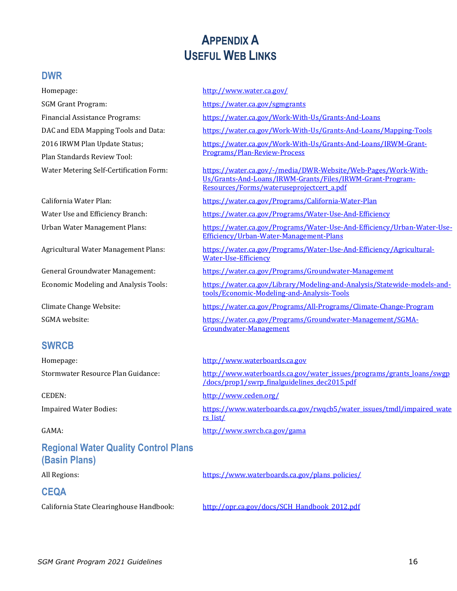### **APPENDIX A USEFUL WEB LINKS**

#### <span id="page-16-0"></span>**DWR**

Homepage: <http://www.water.ca.gov/> SGM Grant Program: <https://water.ca.gov/sgmgrants> 2016 IRWM Plan Update Status; Plan Standards Review Tool:

#### **SWRCB**

Homepage: [http://www.waterboards.ca.gov](http://www.waterboards.ca.gov/)

CEDEN: <http://www.ceden.org/>

#### **Regional Water Quality Control Plans (Basin Plans)**

#### **CEQA**

Financial Assistance Programs: <https://water.ca.gov/Work-With-Us/Grants-And-Loans>

DAC and EDA Mapping Tools and Data: https://water.ca.gov/Work-With-Us/Grants-And-Loans/Mapping-Tools

[https://water.ca.gov/Work-With-Us/Grants-And-Loans/IRWM-Grant-](https://water.ca.gov/Work-With-Us/Grants-And-Loans/IRWM-Grant-Programs/Plan-Review-Process)[Programs/Plan-Review-Process](https://water.ca.gov/Work-With-Us/Grants-And-Loans/IRWM-Grant-Programs/Plan-Review-Process)

Water Metering Self-Certification Form: https://water.ca.gov/-/media/DWR-Website/Web-Pages/Work-With-Us/Grants-And-Loans/IRWM-Grants/Files/IRWM-Grant-Program-Resources/Forms/wateruseprojectcert\_a.pdf

California Water Plan: <https://water.ca.gov/Programs/California-Water-Plan>

Water Use and Efficiency Branch: <https://water.ca.gov/Programs/Water-Use-And-Efficiency>

Urban Water Management Plans: [https://water.ca.gov/Programs/Water-Use-And-Efficiency/Urban-Water-Use-](https://water.ca.gov/Programs/Water-Use-And-Efficiency/Urban-Water-Use-Efficiency/Urban-Water-Management-Plans)[Efficiency/Urban-Water-Management-Plans](https://water.ca.gov/Programs/Water-Use-And-Efficiency/Urban-Water-Use-Efficiency/Urban-Water-Management-Plans)

Agricultural Water Management Plans: [https://water.ca.gov/Programs/Water-Use-And-Efficiency/Agricultural-](https://water.ca.gov/Programs/Water-Use-And-Efficiency/Agricultural-Water-Use-Efficiency)[Water-Use-Efficiency](https://water.ca.gov/Programs/Water-Use-And-Efficiency/Agricultural-Water-Use-Efficiency)

General Groundwater Management: <https://water.ca.gov/Programs/Groundwater-Management>

Economic Modeling and Analysis Tools: [https://water.ca.gov/Library/Modeling-and-Analysis/Statewide-models-and](https://water.ca.gov/Library/Modeling-and-Analysis/Statewide-models-and-tools/Economic-Modeling-and-Analysis-Tools)[tools/Economic-Modeling-and-Analysis-Tools](https://water.ca.gov/Library/Modeling-and-Analysis/Statewide-models-and-tools/Economic-Modeling-and-Analysis-Tools)

Climate Change Website: <https://water.ca.gov/Programs/All-Programs/Climate-Change-Program>

SGMA website: [https://water.ca.gov/Programs/Groundwater-Management/SGMA-](https://water.ca.gov/Programs/Groundwater-Management/SGMA-Groundwater-Management)[Groundwater-Management](https://water.ca.gov/Programs/Groundwater-Management/SGMA-Groundwater-Management)

Stormwater Resource Plan Guidance: [http://www.waterboards.ca.gov/water\\_issues/programs/grants\\_loans/swgp](http://www.waterboards.ca.gov/water_issues/programs/grants_loans/swgp/docs/prop1/swrp_finalguidelines_dec2015.pdf) [/docs/prop1/swrp\\_finalguidelines\\_dec2015.pdf](http://www.waterboards.ca.gov/water_issues/programs/grants_loans/swgp/docs/prop1/swrp_finalguidelines_dec2015.pdf) 

Impaired Water Bodies: [https://www.waterboards.ca.gov/rwqcb5/water\\_issues/tmdl/impaired\\_wate](https://www.waterboards.ca.gov/rwqcb5/water_issues/tmdl/impaired_waters_list/) [rs\\_list/](https://www.waterboards.ca.gov/rwqcb5/water_issues/tmdl/impaired_waters_list/)

GAMA: <http://www.swrcb.ca.gov/gama>

All Regions: [https://www.waterboards.ca.gov/plans\\_policies/](https://www.waterboards.ca.gov/plans_policies/)

California State Clearinghouse Handbook: [http://opr.ca.gov/docs/SCH\\_Handbook\\_2012.pdf](http://opr.ca.gov/docs/SCH_Handbook_2012.pdf)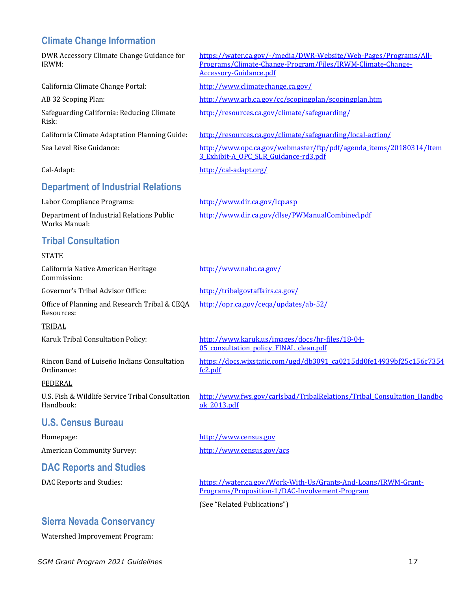### **Climate Change Information**

| DWR Accessory Climate Change Guidance for<br>IRWM:                | https://water.ca.gov/-/media/DWR-Website/Web-Pages/Programs/All-<br>Programs/Climate-Change-Program/Files/IRWM-Climate-Change-<br><b>Accessory-Guidance.pdf</b> |
|-------------------------------------------------------------------|-----------------------------------------------------------------------------------------------------------------------------------------------------------------|
| California Climate Change Portal:                                 | http://www.climatechange.ca.gov/                                                                                                                                |
| AB 32 Scoping Plan:                                               | http://www.arb.ca.gov/cc/scopingplan/scopingplan.htm                                                                                                            |
| Safeguarding California: Reducing Climate<br>Risk:                | http://resources.ca.gov/climate/safeguarding/                                                                                                                   |
| California Climate Adaptation Planning Guide:                     | http://resources.ca.gov/climate/safeguarding/local-action/                                                                                                      |
| Sea Level Rise Guidance:                                          | http://www.opc.ca.gov/webmaster/ftp/pdf/agenda_items/20180314/Item<br>3 Exhibit-A OPC SLR Guidance-rd3.pdf                                                      |
| Cal-Adapt:                                                        | http://cal-adapt.org/                                                                                                                                           |
| <b>Department of Industrial Relations</b>                         |                                                                                                                                                                 |
| Labor Compliance Programs:                                        | http://www.dir.ca.gov/lcp.asp                                                                                                                                   |
| Department of Industrial Relations Public<br><b>Works Manual:</b> | http://www.dir.ca.gov/dlse/PWManualCombined.pdf                                                                                                                 |
| <b>Tribal Consultation</b>                                        |                                                                                                                                                                 |
| <b>STATE</b>                                                      |                                                                                                                                                                 |
| California Native American Heritage<br>Commission:                | http://www.nahc.ca.gov/                                                                                                                                         |
| Governor's Tribal Advisor Office:                                 | http://tribalgovtaffairs.ca.gov/                                                                                                                                |
| Office of Planning and Research Tribal & CEQA<br>Resources:       | http://opr.ca.gov/cega/updates/ab-52/                                                                                                                           |
| TRIBAL                                                            |                                                                                                                                                                 |

Rincon Band of Luiseño Indians Consultation Ordinance:

#### FEDERAL

U.S. Fish & Wildlife Service Tribal Consultation Handbook:

#### **U.S. Census Bureau**

Homepage: [http://www.census.gov](http://www.census.gov/) American Community Survey: <http://www.census.gov/acs>

#### **DAC Reports and Studies**

#### **Sierra Nevada Conservancy**

Watershed Improvement Program:

Karuk Tribal Consultation Policy: [http://www.karuk.us/images/docs/hr-files/18-04-](http://www.karuk.us/images/docs/hr-files/18-04-05_consultation_policy_FINAL_clean.pdf) [05\\_consultation\\_policy\\_FINAL\\_clean.pdf](http://www.karuk.us/images/docs/hr-files/18-04-05_consultation_policy_FINAL_clean.pdf)

> [https://docs.wixstatic.com/ugd/db3091\\_ca0215dd0fe14939bf25c156c7354](https://docs.wixstatic.com/ugd/db3091_ca0215dd0fe14939bf25c156c7354fc2.pdf) [fc2.pdf](https://docs.wixstatic.com/ugd/db3091_ca0215dd0fe14939bf25c156c7354fc2.pdf)

> http://www.fws.gov/carlsbad/TribalRelations/Tribal Consultation Handbo [ok\\_2013.pdf](http://www.fws.gov/carlsbad/TribalRelations/Tribal_Consultation_Handbook_2013.pdf)

DAC Reports and Studies: [https://water.ca.gov/Work-With-Us/Grants-And-Loans/IRWM-Grant-](https://water.ca.gov/Work-With-Us/Grants-And-Loans/IRWM-Grant-Programs/Proposition-1/DAC-Involvement-Program)[Programs/Proposition-1/DAC-Involvement-Program](https://water.ca.gov/Work-With-Us/Grants-And-Loans/IRWM-Grant-Programs/Proposition-1/DAC-Involvement-Program)

(See "Related Publications")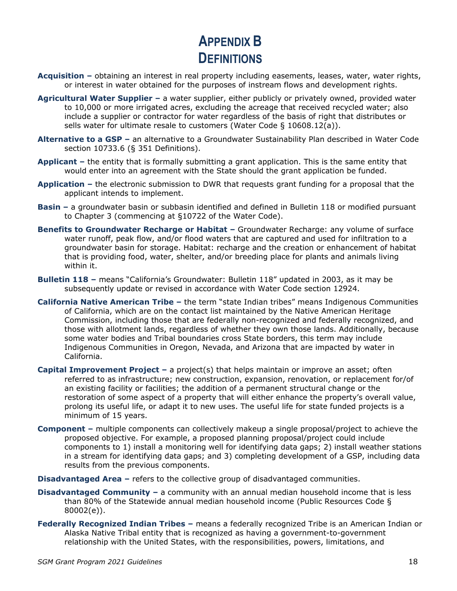### **APPENDIX B DEFINITIONS**

- <span id="page-18-0"></span>**Acquisition –** obtaining an interest in real property including easements, leases, water, water rights, or interest in water obtained for the purposes of instream flows and development rights.
- **Agricultural Water Supplier –** a water supplier, either publicly or privately owned, provided water to 10,000 or more irrigated acres, excluding the acreage that received recycled water; also include a supplier or contractor for water regardless of the basis of right that distributes or sells water for ultimate resale to customers (Water Code § 10608.12(a)).
- **Alternative to a GSP –** an alternative to a Groundwater Sustainability Plan described in Water Code section 10733.6 (§ 351 Definitions).
- **Applicant –** the entity that is formally submitting a grant application. This is the same entity that would enter into an agreement with the State should the grant application be funded.
- **Application –** the electronic submission to DWR that requests grant funding for a proposal that the applicant intends to implement.
- **Basin –** a groundwater basin or subbasin identified and defined in Bulletin 118 or modified pursuant to Chapter 3 (commencing at §10722 of the Water Code).
- **Benefits to Groundwater Recharge or Habitat –** Groundwater Recharge: any volume of surface water runoff, peak flow, and/or flood waters that are captured and used for infiltration to a groundwater basin for storage. Habitat: recharge and the creation or enhancement of habitat that is providing food, water, shelter, and/or breeding place for plants and animals living within it.
- **Bulletin 118 –** means "California's Groundwater: Bulletin 118" updated in 2003, as it may be subsequently update or revised in accordance with Water Code section 12924.
- **California Native American Tribe –** the term "state Indian tribes" means Indigenous Communities of California, which are on the contact list maintained by the Native American Heritage Commission, including those that are federally non-recognized and federally recognized, and those with allotment lands, regardless of whether they own those lands. Additionally, because some water bodies and Tribal boundaries cross State borders, this term may include Indigenous Communities in Oregon, Nevada, and Arizona that are impacted by water in California.
- **Capital Improvement Project –** a project(s) that helps maintain or improve an asset; often referred to as infrastructure; new construction, expansion, renovation, or replacement for/of an existing facility or facilities; the addition of a permanent structural change or the restoration of some aspect of a property that will either enhance the property's overall value, prolong its useful life, or adapt it to new uses. The useful life for state funded projects is a minimum of 15 years.
- **Component –** multiple components can collectively makeup a single proposal/project to achieve the proposed objective. For example, a proposed planning proposal/project could include components to 1) install a monitoring well for identifying data gaps; 2) install weather stations in a stream for identifying data gaps; and 3) completing development of a GSP, including data results from the previous components.
- **Disadvantaged Area –** refers to the collective group of disadvantaged communities.
- **Disadvantaged Community –** a community with an annual median household income that is less than 80% of the Statewide annual median household income (Public Resources Code § 80002(e)).
- **Federally Recognized Indian Tribes –** means a federally recognized Tribe is an American Indian or Alaska Native Tribal entity that is recognized as having a government-to-government relationship with the United States, with the responsibilities, powers, limitations, and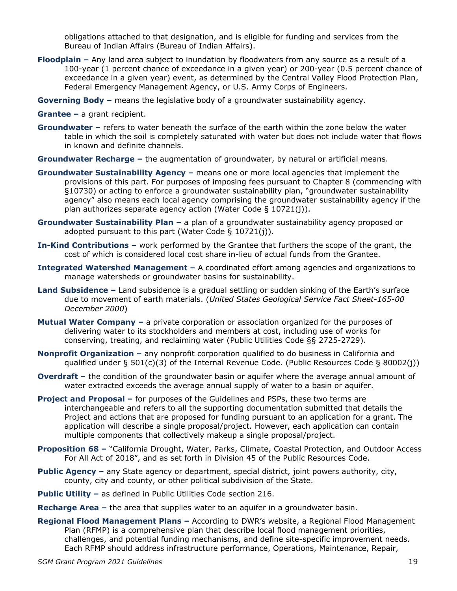obligations attached to that designation, and is eligible for funding and services from the Bureau of Indian Affairs (Bureau of Indian Affairs).

- **Floodplain –** Any land area subject to inundation by floodwaters from any source as a result of a 100-year (1 percent chance of exceedance in a given year) or 200-year (0.5 percent chance of exceedance in a given year) event, as determined by the Central Valley Flood Protection Plan, Federal Emergency Management Agency, or U.S. Army Corps of Engineers.
- **Governing Body –** means the legislative body of a groundwater sustainability agency.
- **Grantee –** a grant recipient.
- **Groundwater –** refers to water beneath the surface of the earth within the zone below the water table in which the soil is completely saturated with water but does not include water that flows in known and definite channels.
- **Groundwater Recharge –** the augmentation of groundwater, by natural or artificial means.
- **Groundwater Sustainability Agency –** means one or more local agencies that implement the provisions of this part. For purposes of imposing fees pursuant to Chapter 8 (commencing with §10730) or acting to enforce a groundwater sustainability plan, "groundwater sustainability agency" also means each local agency comprising the groundwater sustainability agency if the plan authorizes separate agency action (Water Code § 10721(j)).
- **Groundwater Sustainability Plan –** a plan of a groundwater sustainability agency proposed or adopted pursuant to this part (Water Code § 10721(j)).
- **In-Kind Contributions –** work performed by the Grantee that furthers the scope of the grant, the cost of which is considered local cost share in-lieu of actual funds from the Grantee.
- **Integrated Watershed Management –** A coordinated effort among agencies and organizations to manage watersheds or groundwater basins for sustainability.
- **Land Subsidence –** Land subsidence is a gradual settling or sudden sinking of the Earth's surface due to movement of earth materials. (*United States Geological Service Fact Sheet-165-00 December 2000*)
- **Mutual Water Company –** a private corporation or association organized for the purposes of delivering water to its stockholders and members at cost, including use of works for conserving, treating, and reclaiming water (Public Utilities Code §§ 2725-2729).
- **Nonprofit Organization –** any nonprofit corporation qualified to do business in California and qualified under § 501(c)(3) of the Internal Revenue Code. (Public Resources Code § 80002(j))
- **Overdraft –** the condition of the groundwater basin or aquifer where the average annual amount of water extracted exceeds the average annual supply of water to a basin or aquifer.
- **Project and Proposal –** for purposes of the Guidelines and PSPs, these two terms are interchangeable and refers to all the supporting documentation submitted that details the Project and actions that are proposed for funding pursuant to an application for a grant. The application will describe a single proposal/project. However, each application can contain multiple components that collectively makeup a single proposal/project.
- **Proposition 68 –** "California Drought, Water, Parks, Climate, Coastal Protection, and Outdoor Access For All Act of 2018", and as set forth in Division 45 of the Public Resources Code.
- **Public Agency –** any State agency or department, special district, joint powers authority, city, county, city and county, or other political subdivision of the State.
- **Public Utility –** as defined in Public Utilities Code section 216.
- **Recharge Area –** the area that supplies water to an aquifer in a groundwater basin.
- **Regional Flood Management Plans –** According to DWR's website, a Regional Flood Management Plan (RFMP) is a comprehensive plan that describe local flood management priorities, challenges, and potential funding mechanisms, and define site-specific improvement needs. Each RFMP should address infrastructure performance, Operations, Maintenance, Repair,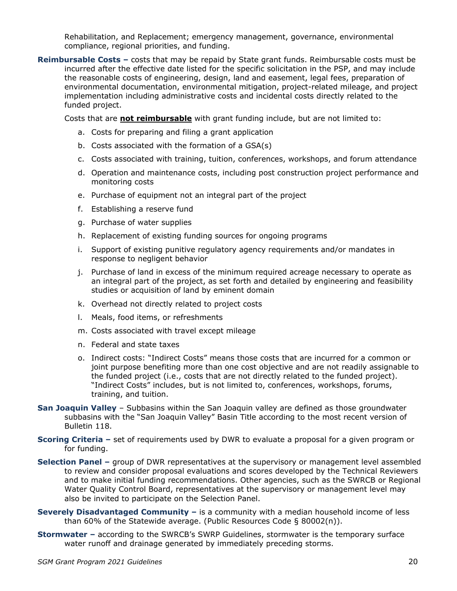Rehabilitation, and Replacement; emergency management, governance, environmental compliance, regional priorities, and funding.

**Reimbursable Costs –** costs that may be repaid by State grant funds. Reimbursable costs must be incurred after the effective date listed for the specific solicitation in the PSP, and may include the reasonable costs of engineering, design, land and easement, legal fees, preparation of environmental documentation, environmental mitigation, project-related mileage, and project implementation including administrative costs and incidental costs directly related to the funded project.

Costs that are **not reimbursable** with grant funding include, but are not limited to:

- a. Costs for preparing and filing a grant application
- b. Costs associated with the formation of a GSA(s)
- c. Costs associated with training, tuition, conferences, workshops, and forum attendance
- d. Operation and maintenance costs, including post construction project performance and monitoring costs
- e. Purchase of equipment not an integral part of the project
- f. Establishing a reserve fund
- g. Purchase of water supplies
- h. Replacement of existing funding sources for ongoing programs
- i. Support of existing punitive regulatory agency requirements and/or mandates in response to negligent behavior
- j. Purchase of land in excess of the minimum required acreage necessary to operate as an integral part of the project, as set forth and detailed by engineering and feasibility studies or acquisition of land by eminent domain
- k. Overhead not directly related to project costs
- l. Meals, food items, or refreshments
- m. Costs associated with travel except mileage
- n. Federal and state taxes
- o. Indirect costs: "Indirect Costs" means those costs that are incurred for a common or joint purpose benefiting more than one cost objective and are not readily assignable to the funded project (i.e., costs that are not directly related to the funded project). "Indirect Costs" includes, but is not limited to, conferences, workshops, forums, training, and tuition.
- **San Joaquin Valley** Subbasins within the San Joaquin valley are defined as those groundwater subbasins with the "San Joaquin Valley" Basin Title according to the most recent version of Bulletin 118.
- **Scoring Criteria –** set of requirements used by DWR to evaluate a proposal for a given program or for funding.
- **Selection Panel –** group of DWR representatives at the supervisory or management level assembled to review and consider proposal evaluations and scores developed by the Technical Reviewers and to make initial funding recommendations. Other agencies, such as the SWRCB or Regional Water Quality Control Board, representatives at the supervisory or management level may also be invited to participate on the Selection Panel.
- **Severely Disadvantaged Community –** is a community with a median household income of less than 60% of the Statewide average. (Public Resources Code § 80002(n)).
- **Stormwater –** according to the SWRCB's SWRP Guidelines, stormwater is the temporary surface water runoff and drainage generated by immediately preceding storms.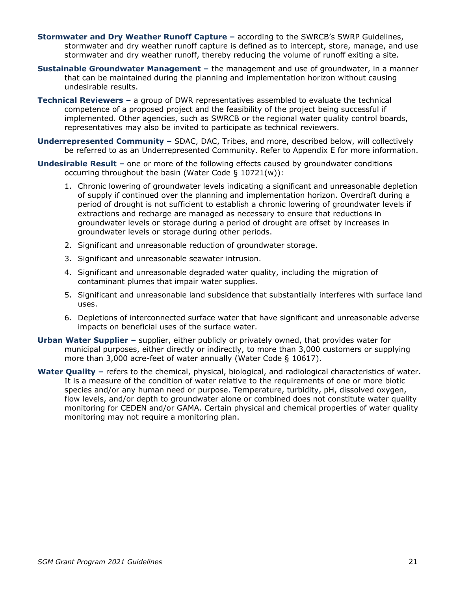- **Stormwater and Dry Weather Runoff Capture –** according to the SWRCB's SWRP Guidelines, stormwater and dry weather runoff capture is defined as to intercept, store, manage, and use stormwater and dry weather runoff, thereby reducing the volume of runoff exiting a site.
- **Sustainable Groundwater Management –** the management and use of groundwater, in a manner that can be maintained during the planning and implementation horizon without causing undesirable results.
- **Technical Reviewers –** a group of DWR representatives assembled to evaluate the technical competence of a proposed project and the feasibility of the project being successful if implemented. Other agencies, such as SWRCB or the regional water quality control boards, representatives may also be invited to participate as technical reviewers.
- **Underrepresented Community –** SDAC, DAC, Tribes, and more, described below, will collectively be referred to as an Underrepresented Community. Refer to Appendix E for more information.
- **Undesirable Result –** one or more of the following effects caused by groundwater conditions occurring throughout the basin (Water Code § 10721(w)):
	- 1. Chronic lowering of groundwater levels indicating a significant and unreasonable depletion of supply if continued over the planning and implementation horizon. Overdraft during a period of drought is not sufficient to establish a chronic lowering of groundwater levels if extractions and recharge are managed as necessary to ensure that reductions in groundwater levels or storage during a period of drought are offset by increases in groundwater levels or storage during other periods.
	- 2. Significant and unreasonable reduction of groundwater storage.
	- 3. Significant and unreasonable seawater intrusion.
	- 4. Significant and unreasonable degraded water quality, including the migration of contaminant plumes that impair water supplies.
	- 5. Significant and unreasonable land subsidence that substantially interferes with surface land uses.
	- 6. Depletions of interconnected surface water that have significant and unreasonable adverse impacts on beneficial uses of the surface water.
- **Urban Water Supplier –** supplier, either publicly or privately owned, that provides water for municipal purposes, either directly or indirectly, to more than 3,000 customers or supplying more than 3,000 acre-feet of water annually (Water Code § 10617).
- <span id="page-21-0"></span>**Water Quality –** refers to the chemical, physical, biological, and radiological characteristics of water. It is a measure of the condition of water relative to the requirements of one or more biotic species and/or any human need or purpose. Temperature, turbidity, pH, dissolved oxygen, flow levels, and/or depth to groundwater alone or combined does not constitute water quality monitoring for CEDEN and/or GAMA. Certain physical and chemical properties of water quality monitoring may not require a monitoring plan.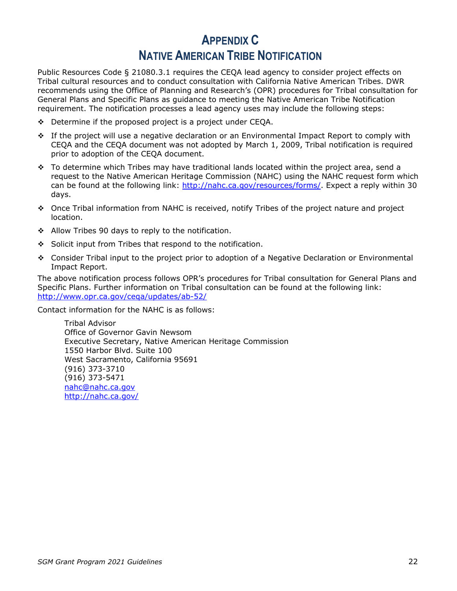### **APPENDIX C NATIVE AMERICAN TRIBE NOTIFICATION**

<span id="page-22-0"></span>Public Resources Code § 21080.3.1 requires the CEQA lead agency to consider project effects on Tribal cultural resources and to conduct consultation with California Native American Tribes. DWR recommends using the Office of Planning and Research's (OPR) procedures for Tribal consultation for General Plans and Specific Plans as guidance to meeting the Native American Tribe Notification requirement. The notification processes a lead agency uses may include the following steps:

- ❖ Determine if the proposed project is a project under CEQA.
- ❖ If the project will use a negative declaration or an Environmental Impact Report to comply with CEQA and the CEQA document was not adopted by March 1, 2009, Tribal notification is required prior to adoption of the CEQA document.
- ❖ To determine which Tribes may have traditional lands located within the project area, send a request to the Native American Heritage Commission (NAHC) using the NAHC request form which can be found at the following link: [http://nahc.ca.gov/resources/forms/.](http://nahc.ca.gov/resources/forms/) Expect a reply within 30 days.
- ❖ Once Tribal information from NAHC is received, notify Tribes of the project nature and project location.
- ❖ Allow Tribes 90 days to reply to the notification.
- ❖ Solicit input from Tribes that respond to the notification.
- ❖ Consider Tribal input to the project prior to adoption of a Negative Declaration or Environmental Impact Report.

The above notification process follows OPR's procedures for Tribal consultation for General Plans and Specific Plans. Further information on Tribal consultation can be found at the following link: <http://www.opr.ca.gov/ceqa/updates/ab-52/>

Contact information for the NAHC is as follows:

Tribal Advisor Office of Governor Gavin Newsom Executive Secretary, Native American Heritage Commission 1550 Harbor Blvd. Suite 100 West Sacramento, California 95691 (916) 373-3710 (916) 373-5471 [nahc@nahc.ca.gov](https://mail.ces.ca.gov/owa/redir.aspx?C=ZuCemDZq4EmcgnlBX8lnJOENTa0ySNEIGS6x7YPBmRoYerOVdVyJzd7UZmXD-Wt61Z-it5njelU.&URL=mailto%3anahc%40nahc.ca.gov) <http://nahc.ca.gov/>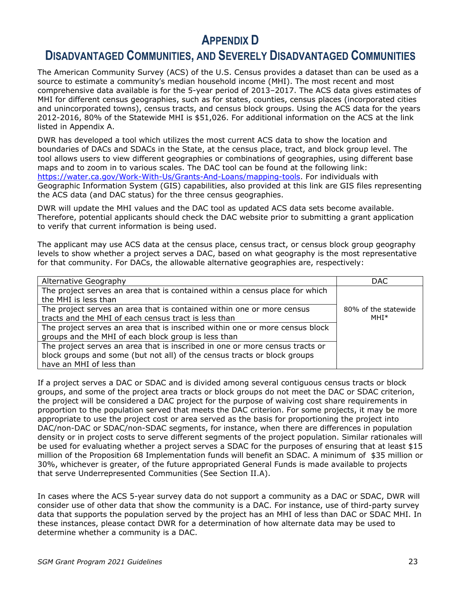### **APPENDIX D**

### <span id="page-23-0"></span>**DISADVANTAGED COMMUNITIES, AND SEVERELY DISADVANTAGED COMMUNITIES**

The American Community Survey (ACS) of the U.S. Census provides a dataset than can be used as a source to estimate a community's median household income (MHI). The most recent and most comprehensive data available is for the 5-year period of 2013–2017. The ACS data gives estimates of MHI for different census geographies, such as for states, counties, census places (incorporated cities and unincorporated towns), census tracts, and census block groups. Using the ACS data for the years 2012-2016, 80% of the Statewide MHI is \$51,026. For additional information on the ACS at the link listed in Appendix A.

DWR has developed a tool which utilizes the most current ACS data to show the location and boundaries of DACs and SDACs in the State, at the census place, tract, and block group level. The tool allows users to view different geographies or combinations of geographies, using different base maps and to zoom in to various scales. The DAC tool can be found at the following link: [https://water.ca.gov/Work-With-Us/Grants-And-Loans/mapping-tools.](https://water.ca.gov/Work-With-Us/Grants-And-Loans/mapping-tools) For individuals with Geographic Information System (GIS) capabilities, also provided at this link are GIS files representing the ACS data (and DAC status) for the three census geographies.

DWR will update the MHI values and the DAC tool as updated ACS data sets become available. Therefore, potential applicants should check the DAC website prior to submitting a grant application to verify that current information is being used.

The applicant may use ACS data at the census place, census tract, or census block group geography levels to show whether a project serves a DAC, based on what geography is the most representative for that community. For DACs, the allowable alternative geographies are, respectively:

| Alternative Geography                                                        | DAC.                 |
|------------------------------------------------------------------------------|----------------------|
| The project serves an area that is contained within a census place for which |                      |
| the MHI is less than                                                         |                      |
| The project serves an area that is contained within one or more census       | 80% of the statewide |
| tracts and the MHI of each census tract is less than                         | $MHI*$               |
| The project serves an area that is inscribed within one or more census block |                      |
| groups and the MHI of each block group is less than                          |                      |
| The project serves an area that is inscribed in one or more census tracts or |                      |
| block groups and some (but not all) of the census tracts or block groups     |                      |
| have an MHI of less than                                                     |                      |

If a project serves a DAC or SDAC and is divided among several contiguous census tracts or block groups, and some of the project area tracts or block groups do not meet the DAC or SDAC criterion, the project will be considered a DAC project for the purpose of waiving cost share requirements in proportion to the population served that meets the DAC criterion. For some projects, it may be more appropriate to use the project cost or area served as the basis for proportioning the project into DAC/non-DAC or SDAC/non-SDAC segments, for instance, when there are differences in population density or in project costs to serve different segments of the project population. Similar rationales will be used for evaluating whether a project serves a SDAC for the purposes of ensuring that at least \$15 million of the Proposition 68 Implementation funds will benefit an SDAC. A minimum of \$35 million or 30%, whichever is greater, of the future appropriated General Funds is made available to projects that serve Underrepresented Communities (See Section II.A).

In cases where the ACS 5-year survey data do not support a community as a DAC or SDAC, DWR will consider use of other data that show the community is a DAC. For instance, use of third-party survey data that supports the population served by the project has an MHI of less than DAC or SDAC MHI. In these instances, please contact DWR for a determination of how alternate data may be used to determine whether a community is a DAC.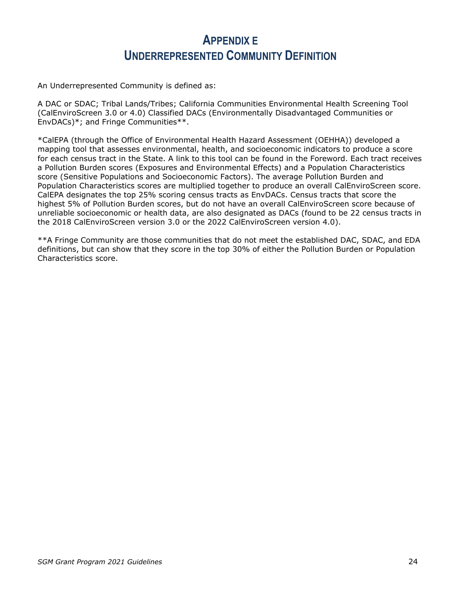### **APPENDIX E UNDERREPRESENTED COMMUNITY DEFINITION**

<span id="page-24-0"></span>An Underrepresented Community is defined as:

A DAC or SDAC; Tribal Lands/Tribes; California Communities Environmental Health Screening Tool (CalEnviroScreen 3.0 or 4.0) Classified DACs (Environmentally Disadvantaged Communities or EnvDACs)\*; and Fringe Communities\*\*.

\*CalEPA (through the Office of Environmental Health Hazard Assessment (OEHHA)) developed a mapping tool that assesses environmental, health, and socioeconomic indicators to produce a score for each census tract in the State. A link to this tool can be found in the Foreword. Each tract receives a Pollution Burden scores (Exposures and Environmental Effects) and a Population Characteristics score (Sensitive Populations and Socioeconomic Factors). The average Pollution Burden and Population Characteristics scores are multiplied together to produce an overall CalEnviroScreen score. CalEPA designates the top 25% scoring census tracts as EnvDACs. Census tracts that score the highest 5% of Pollution Burden scores, but do not have an overall CalEnviroScreen score because of unreliable socioeconomic or health data, are also designated as DACs (found to be 22 census tracts in the 2018 CalEnviroScreen version 3.0 or the 2022 CalEnviroScreen version 4.0).

\*\*A Fringe Community are those communities that do not meet the established DAC, SDAC, and EDA definitions, but can show that they score in the top 30% of either the Pollution Burden or Population Characteristics score.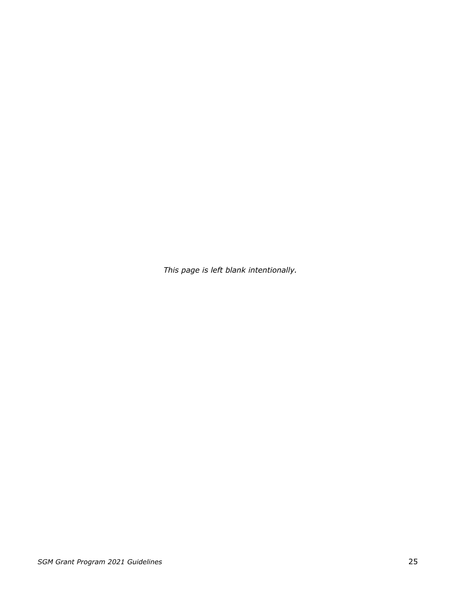*This page is left blank intentionally.*